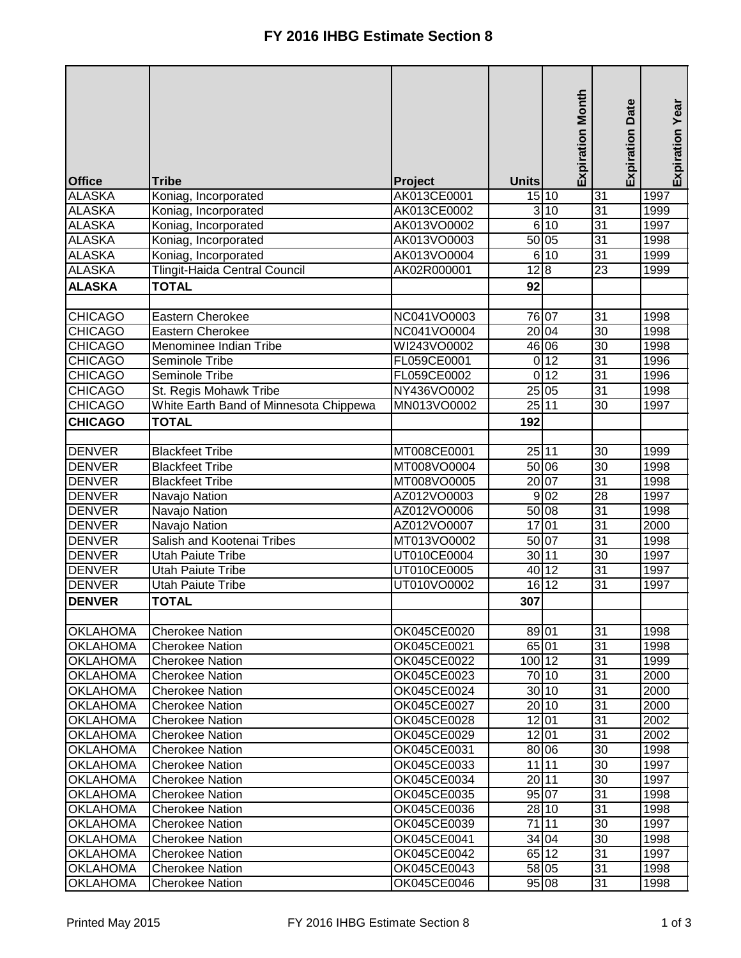|                 |                                        |             |              | <b>Expiration Month</b> | <b>Expiration Date</b> | Expiration Year |
|-----------------|----------------------------------------|-------------|--------------|-------------------------|------------------------|-----------------|
|                 |                                        |             |              |                         |                        |                 |
| <b>Office</b>   | <b>Tribe</b>                           | Project     | <b>Units</b> |                         |                        |                 |
| <b>ALASKA</b>   | Koniag, Incorporated                   | AK013CE0001 |              | 15 10                   | 31                     | 1997            |
| <b>ALASKA</b>   | Koniag, Incorporated                   | AK013CE0002 |              | 3 10                    | 31                     | 1999            |
| <b>ALASKA</b>   | Koniag, Incorporated                   | AK013VO0002 |              | 6 10                    | 31                     | 1997            |
| <b>ALASKA</b>   | Koniag, Incorporated                   | AK013VO0003 |              | 50 05                   | 31                     | 1998            |
| <b>ALASKA</b>   | Koniag, Incorporated                   | AK013VO0004 |              | 6 10                    | 31                     | 1999            |
| <b>ALASKA</b>   | <b>Tlingit-Haida Central Council</b>   | AK02R000001 | 12 8         |                         | $\overline{23}$        | 1999            |
| <b>ALASKA</b>   | <b>TOTAL</b>                           |             | 92           |                         |                        |                 |
|                 |                                        |             |              |                         |                        |                 |
| <b>CHICAGO</b>  | Eastern Cherokee                       | NC041VO0003 |              | 76 07                   | 31                     | 1998            |
| <b>CHICAGO</b>  | Eastern Cherokee                       | NC041VO0004 |              | 20 04                   | 30                     | 1998            |
| <b>CHICAGO</b>  | Menominee Indian Tribe                 | WI243VO0002 |              | 46 06                   | 30                     | 1998            |
| <b>CHICAGO</b>  | Seminole Tribe                         | FL059CE0001 |              | $0$ 12                  | 31                     | 1996            |
| <b>CHICAGO</b>  | Seminole Tribe                         | FL059CE0002 |              | $0$ 12                  | 31                     | 1996            |
| <b>CHICAGO</b>  | St. Regis Mohawk Tribe                 | NY436VO0002 |              | 25 05                   | 31                     | 1998            |
| <b>CHICAGO</b>  | White Earth Band of Minnesota Chippewa | MN013VO0002 |              | 25 11                   | 30                     | 1997            |
| <b>CHICAGO</b>  | <b>TOTAL</b>                           |             | 192          |                         |                        |                 |
|                 |                                        |             |              |                         |                        |                 |
| <b>DENVER</b>   | <b>Blackfeet Tribe</b>                 | MT008CE0001 | 25 11        |                         | 30                     | 1999            |
| <b>DENVER</b>   | <b>Blackfeet Tribe</b>                 | MT008VO0004 |              | 50 06                   | 30                     | 1998            |
| <b>DENVER</b>   | <b>Blackfeet Tribe</b>                 | MT008VO0005 |              | 20 07                   | 31                     | 1998            |
| <b>DENVER</b>   | Navajo Nation                          | AZ012VO0003 |              | 9 <sub>02</sub>         | $\overline{28}$        | 1997            |
| <b>DENVER</b>   | Navajo Nation                          | AZ012VO0006 |              | 50 08                   | 31                     | 1998            |
| <b>DENVER</b>   | Navajo Nation                          | AZ012VO0007 | 17           | 01                      | 31                     | 2000            |
| <b>DENVER</b>   | Salish and Kootenai Tribes             | MT013VO0002 |              | 50 07                   | 31                     | 1998            |
| <b>DENVER</b>   | <b>Utah Paiute Tribe</b>               | UT010CE0004 | 30 11        |                         | 30                     | 1997            |
| <b>DENVER</b>   | <b>Utah Paiute Tribe</b>               | UT010CE0005 |              | 40 12                   | 31                     | 1997            |
| <b>DENVER</b>   | <b>Utah Paiute Tribe</b>               | UT010VO0002 |              | 16 12                   | $\overline{31}$        | 1997            |
| <b>DENVER</b>   | <b>TOTAL</b>                           |             | 307          |                         |                        |                 |
|                 |                                        |             |              |                         |                        |                 |
| <b>OKLAHOMA</b> | <b>Cherokee Nation</b>                 | OK045CE0020 | 89 01        |                         | 31                     | 1998            |
| <b>OKLAHOMA</b> | <b>Cherokee Nation</b>                 | OK045CE0021 |              | 65 01                   | 31                     | 1998            |
| <b>OKLAHOMA</b> | <b>Cherokee Nation</b>                 | OK045CE0022 | 100 12       |                         | 31                     | 1999            |
| <b>OKLAHOMA</b> | <b>Cherokee Nation</b>                 | OK045CE0023 |              | 70 10                   | 31                     | 2000            |
| <b>OKLAHOMA</b> | <b>Cherokee Nation</b>                 | OK045CE0024 |              | 30 10                   | 31                     | 2000            |
| <b>OKLAHOMA</b> | <b>Cherokee Nation</b>                 | OK045CE0027 |              | 20 <sub>10</sub>        | 31                     | 2000            |
| OKLAHOMA        | <b>Cherokee Nation</b>                 | OK045CE0028 |              | 12 01                   | 31                     | 2002            |
| OKLAHOMA        | <b>Cherokee Nation</b>                 | OK045CE0029 |              | 12 01                   | 31                     | 2002            |
| <b>OKLAHOMA</b> | <b>Cherokee Nation</b>                 | OK045CE0031 |              | 80 06                   | 30                     | 1998            |
| OKLAHOMA        | <b>Cherokee Nation</b>                 | OK045CE0033 | 11           | 11                      | 30                     | 1997            |
| <b>OKLAHOMA</b> | <b>Cherokee Nation</b>                 | OK045CE0034 |              | 20 11                   | 30                     | 1997            |
| <b>OKLAHOMA</b> | <b>Cherokee Nation</b>                 | OK045CE0035 |              | 95 07                   | 31                     | 1998            |
| <b>OKLAHOMA</b> | <b>Cherokee Nation</b>                 | OK045CE0036 |              | 28 10                   | 31                     | 1998            |
| <b>OKLAHOMA</b> | <b>Cherokee Nation</b>                 | OK045CE0039 | 71           | 11                      | 30                     | 1997            |
| <b>OKLAHOMA</b> | <b>Cherokee Nation</b>                 | OK045CE0041 |              | 34 04                   | 30                     | 1998            |
| <b>OKLAHOMA</b> | <b>Cherokee Nation</b>                 | OK045CE0042 |              | 65 12                   | 31                     | 1997            |
| <b>OKLAHOMA</b> | <b>Cherokee Nation</b>                 | OK045CE0043 |              | 58 05                   | 31                     | 1998            |
| <b>OKLAHOMA</b> | <b>Cherokee Nation</b>                 | OK045CE0046 |              | 95 08                   | 31                     | 1998            |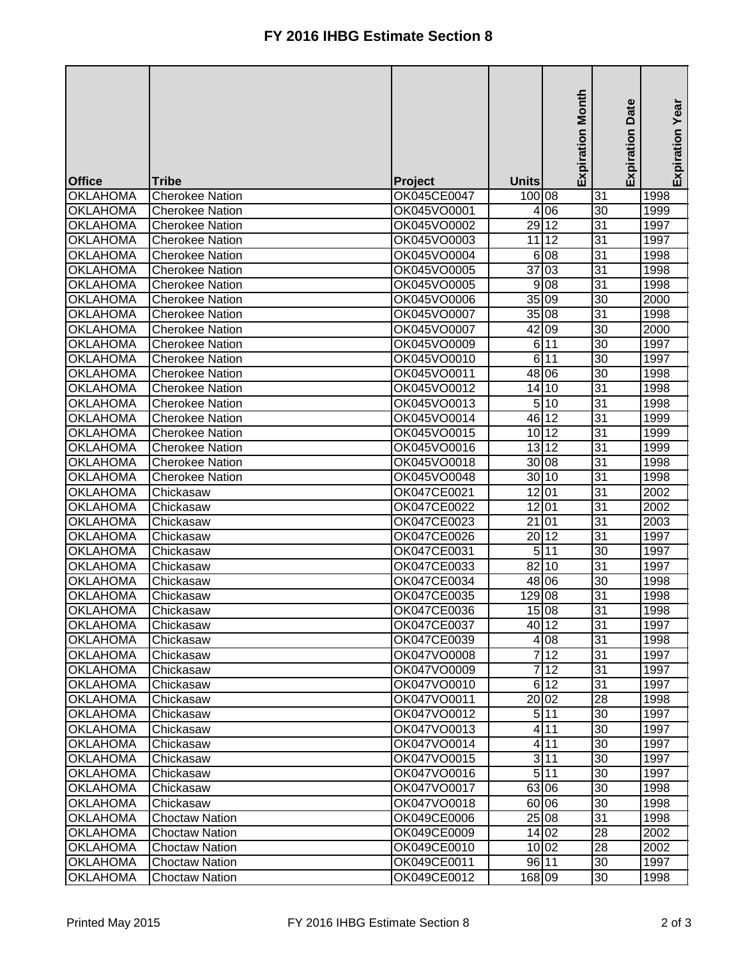|                                    |                        |                            |                         | <b>Expiration Month</b> | Date                               | Expiration Year |
|------------------------------------|------------------------|----------------------------|-------------------------|-------------------------|------------------------------------|-----------------|
|                                    |                        |                            |                         |                         | Expiration                         |                 |
| <b>Office</b>                      | <b>Tribe</b>           | Project                    | <b>Units</b>            |                         |                                    |                 |
| <b>OKLAHOMA</b>                    | <b>Cherokee Nation</b> | OK045CE0047                | 100 08                  |                         | 31                                 | 1998            |
| <b>OKLAHOMA</b>                    | <b>Cherokee Nation</b> | OK045VO0001                |                         | 4 0 6                   | 30                                 | 1999            |
| <b>OKLAHOMA</b>                    | <b>Cherokee Nation</b> | OK045VO0002                | 29 12                   |                         | 31                                 | 1997            |
| <b>OKLAHOMA</b>                    | <b>Cherokee Nation</b> | OK045VO0003                |                         | 11 12                   | $\overline{31}$                    | 1997            |
| <b>OKLAHOMA</b>                    | <b>Cherokee Nation</b> | OK045VO0004                | 6                       | 08                      | 31                                 | 1998            |
| <b>OKLAHOMA</b>                    | <b>Cherokee Nation</b> | OK045VO0005                | $\overline{37}$ 03      |                         | 31                                 | 1998            |
| <b>OKLAHOMA</b>                    | <b>Cherokee Nation</b> | OK045VO0005                | 9                       | 08                      | $\overline{31}$                    | 1998            |
| <b>OKLAHOMA</b>                    | <b>Cherokee Nation</b> | OK045VO0006                | 35 09                   |                         | 30                                 | 2000            |
| <b>OKLAHOMA</b>                    | <b>Cherokee Nation</b> | OK045VO0007                |                         | 35 08                   | $\overline{31}$                    | 1998            |
| <b>OKLAHOMA</b>                    | <b>Cherokee Nation</b> | OK045VO0007                | 42 09                   |                         | $\overline{30}$                    | 2000            |
| <b>OKLAHOMA</b>                    | <b>Cherokee Nation</b> | OK045VO0009                |                         | $6\overline{11}$        | 30                                 | 1997            |
| <b>OKLAHOMA</b>                    | <b>Cherokee Nation</b> | OK045VO0010                |                         | 6 11                    | 30                                 | 1997            |
| <b>OKLAHOMA</b>                    | <b>Cherokee Nation</b> | OK045VO0011                | 48 06                   |                         | $\overline{3}0$                    | 1998            |
| <b>OKLAHOMA</b>                    | <b>Cherokee Nation</b> | OK045VO0012                |                         | 14 10                   | 31                                 | 1998            |
| <b>OKLAHOMA</b>                    | <b>Cherokee Nation</b> | OK045VO0013                |                         | 5 10                    | 31                                 | 1998            |
| <b>OKLAHOMA</b>                    | <b>Cherokee Nation</b> | OK045VO0014                |                         | 46 12                   | $\overline{31}$                    | 1999            |
| <b>OKLAHOMA</b>                    | <b>Cherokee Nation</b> | OK045VO0015                |                         | 10 12                   | 31                                 | 1999            |
| <b>OKLAHOMA</b>                    | <b>Cherokee Nation</b> | OK045VO0016                |                         | 13 12                   | $\overline{31}$                    | 1999            |
| <b>OKLAHOMA</b>                    | <b>Cherokee Nation</b> | OK045VO0018                |                         | 30 08                   | $\overline{31}$                    | 1998            |
| <b>OKLAHOMA</b>                    | <b>Cherokee Nation</b> | OK045VO0048                |                         | 30 10                   | $\overline{31}$                    | 1998            |
| <b>OKLAHOMA</b>                    | Chickasaw              | OK047CE0021                | 12 01                   |                         | $\overline{31}$                    | 2002            |
| <b>OKLAHOMA</b>                    | Chickasaw              | OK047CE0022                | 12 01<br>21             | 01                      | $\overline{31}$<br>$\overline{31}$ | 2002            |
| <b>OKLAHOMA</b><br><b>OKLAHOMA</b> | Chickasaw<br>Chickasaw | OK047CE0023<br>OK047CE0026 |                         | 20 12                   | $\overline{31}$                    | 2003            |
| <b>OKLAHOMA</b>                    |                        |                            |                         | 11                      | 30                                 | 1997            |
| <b>OKLAHOMA</b>                    | Chickasaw<br>Chickasaw | OK047CE0031<br>OK047CE0033 | 5 <sub>l</sub><br>82 10 |                         | 31                                 | 1997<br>1997    |
| <b>OKLAHOMA</b>                    | Chickasaw              | OK047CE0034                |                         | 48 06                   | 30                                 | 1998            |
| <b>OKLAHOMA</b>                    | Chickasaw              | OK047CE0035                | 129                     | 08                      | 31                                 | 1998            |
| <b>OKLAHOMA</b>                    | Chickasaw              | OK047CE0036                |                         | 15108                   | 31                                 | 1998            |
| <b>OKLAHOMA</b>                    | Chickasaw              | OK047CE0037                |                         | 40 12                   | $\overline{31}$                    | 1997            |
| <b>OKLAHOMA</b>                    | Chickasaw              | OK047CE0039                |                         | 4 08                    | 31                                 | 1998            |
| <b>OKLAHOMA</b>                    | Chickasaw              | OK047VO0008                |                         | 712                     | $\overline{31}$                    | 1997            |
| <b>OKLAHOMA</b>                    | Chickasaw              | OK047VO0009                |                         | 712                     | 31                                 | 1997            |
| <b>OKLAHOMA</b>                    | Chickasaw              | OK047VO0010                |                         | 6 12                    | 31                                 | 1997            |
| <b>OKLAHOMA</b>                    | Chickasaw              | OK047VO0011                |                         | 20 02                   | $\overline{28}$                    | 1998            |
| <b>OKLAHOMA</b>                    | Chickasaw              | OK047VO0012                |                         | 5 11                    | 30                                 | 1997            |
| <b>OKLAHOMA</b>                    | Chickasaw              | OK047VO0013                |                         | $4\overline{11}$        | 30                                 | 1997            |
| <b>OKLAHOMA</b>                    | Chickasaw              | OK047VO0014                |                         | 4 11                    | 30                                 | 1997            |
| <b>OKLAHOMA</b>                    | Chickasaw              | OK047VO0015                |                         | $3\overline{11}$        | 30                                 | 1997            |
| <b>OKLAHOMA</b>                    | Chickasaw              | OK047VO0016                |                         | 5 11                    | 30                                 | 1997            |
| <b>OKLAHOMA</b>                    | Chickasaw              | OK047VO0017                |                         | 63 06                   | $\overline{30}$                    | 1998            |
| <b>OKLAHOMA</b>                    | Chickasaw              | OK047VO0018                |                         | 60 06                   | 30                                 | 1998            |
| <b>OKLAHOMA</b>                    | <b>Choctaw Nation</b>  | OK049CE0006                |                         | 25 08                   | 31                                 | 1998            |
| <b>OKLAHOMA</b>                    | <b>Choctaw Nation</b>  | OK049CE0009                |                         | 14 02                   | $\overline{28}$                    | 2002            |
| <b>OKLAHOMA</b>                    | <b>Choctaw Nation</b>  | OK049CE0010                |                         | 10 02                   | $\overline{28}$                    | 2002            |
| <b>OKLAHOMA</b>                    | <b>Choctaw Nation</b>  | OK049CE0011                | 96 11                   |                         | $\overline{30}$                    | 1997            |
| <b>OKLAHOMA</b>                    | <b>Choctaw Nation</b>  | OK049CE0012                | 168 09                  |                         | 30                                 | 1998            |